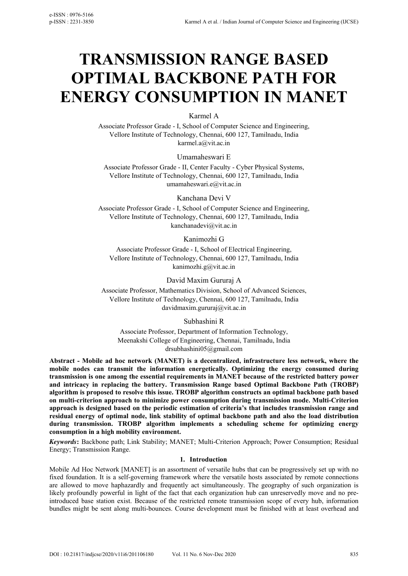# **TRANSMISSION RANGE BASED OPTIMAL BACKBONE PATH FOR ENERGY CONSUMPTION IN MANET**

Karmel A

Associate Professor Grade - I, School of Computer Science and Engineering, Vellore Institute of Technology, Chennai, 600 127, Tamilnadu, India karmel.a@vit.ac.in

Umamaheswari E

Associate Professor Grade - II, Center Faculty - Cyber Physical Systems, Vellore Institute of Technology, Chennai, 600 127, Tamilnadu, India umamaheswari.e@vit.ac.in

Kanchana Devi V

Associate Professor Grade - I, School of Computer Science and Engineering, Vellore Institute of Technology, Chennai, 600 127, Tamilnadu, India kanchanadevi@vit.ac.in

Kanimozhi G

Associate Professor Grade - I, School of Electrical Engineering, Vellore Institute of Technology, Chennai, 600 127, Tamilnadu, India kanimozhi.g@vit.ac.in

David Maxim Gururaj A

Associate Professor, Mathematics Division, School of Advanced Sciences, Vellore Institute of Technology, Chennai, 600 127, Tamilnadu, India davidmaxim.gururaj@vit.ac.in

Subhashini R

Associate Professor, Department of Information Technology, Meenakshi College of Engineering, Chennai, Tamilnadu, India drsubhashini05@gmail.com

**Abstract - Mobile ad hoc network (MANET) is a decentralized, infrastructure less network, where the mobile nodes can transmit the information energetically. Optimizing the energy consumed during transmission is one among the essential requirements in MANET because of the restricted battery power and intricacy in replacing the battery. Transmission Range based Optimal Backbone Path (TROBP) algorithm is proposed to resolve this issue. TROBP algorithm constructs an optimal backbone path based on multi-criterion approach to minimize power consumption during transmission mode. Multi-Criterion approach is designed based on the periodic estimation of criteria's that includes transmission range and residual energy of optimal node, link stability of optimal backbone path and also the load distribution during transmission. TROBP algorithm implements a scheduling scheme for optimizing energy consumption in a high mobility environment.** 

*Keywords***:** Backbone path; Link Stability; MANET; Multi-Criterion Approach; Power Consumption; Residual Energy; Transmission Range.

# **1. Introduction**

Mobile Ad Hoc Network [MANET] is an assortment of versatile hubs that can be progressively set up with no fixed foundation. It is a self-governing framework where the versatile hosts associated by remote connections are allowed to move haphazardly and frequently act simultaneously. The geography of such organization is likely profoundly powerful in light of the fact that each organization hub can unreservedly move and no preintroduced base station exist. Because of the restricted remote transmission scope of every hub, information bundles might be sent along multi-bounces. Course development must be finished with at least overhead and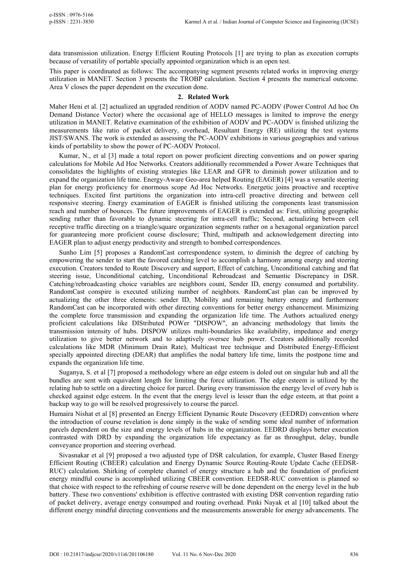data transmission utilization. Energy Efficient Routing Protocols [1] are trying to plan as execution corrupts because of versatility of portable specially appointed organization which is an open test.

This paper is coordinated as follows: The accompanying segment presents related works in improving energy utilization in MANET. Section 3 presents the TROBP calculation. Section 4 presents the numerical outcome. Area V closes the paper dependent on the execution done.

#### **2. Related Work**

Maher Heni et al. [2] actualized an upgraded rendition of AODV named PC-AODV (Power Control Ad hoc On Demand Distance Vector) where the occasional age of HELLO messages is limited to improve the energy utilization in MANET. Relative examination of the exhibition of AODV and PC-AODV is finished utilizing the measurements like ratio of packet delivery, overhead, Resultant Energy (RE) utilizing the test systems JIST/SWANS. The work is extended as assessing the PC-AODV exhibitions in various geographies and various kinds of portability to show the power of PC-AODV Protocol.

Kumar, N., et al [3] made a total report on power proficient directing conventions and on power sparing calculations for Mobile Ad Hoc Networks. Creators additionally recommended a Power Aware Techniques that consolidates the highlights of existing strategies like LEAR and GFR to diminish power utilization and to expand the organization life time. Energy-Aware Geo-area helped Routing (EAGER) [4] was a versatile steering plan for energy proficiency for enormous scope Ad Hoc Networks. Energetic joins proactive and receptive techniques. Excited first partitions the organization into intra-cell proactive directing and between cell responsive steering. Energy examination of EAGER is finished utilizing the components least transmission reach and number of bounces. The future improvements of EAGER is extended as: First, utilizing geographic sending rather than favorable to dynamic steering for intra-cell traffic; Second, actualizing between cell receptive traffic directing on a triangle/square organization segments rather on a hexagonal organization parcel for guaranteeing more proficient course disclosure; Third, multipath and acknowledgement directing into EAGER plan to adjust energy productivity and strength to bombed correspondences.

Sunho Lim [5] proposes a RandomCast correspondence system, to diminish the degree of catching by empowering the sender to start the favored catching level to accomplish a harmony among energy and steering execution. Creators tended to Route Discovery and support, Effect of catching, Unconditional catching and flat steering issue, Unconditional catching, Unconditional Rebroadcast and Semantic Discrepancy in DSR. Catching/rebroadcasting choice variables are neighbors count, Sender ID, energy consumed and portability. RandomCast conspire is executed utilizing number of neighbors. RandomCast plan can be improved by actualizing the other three elements: sender ID, Mobility and remaining battery energy and furthermore RandomCast can be incorporated with other directing conventions for better energy enhancement. Minimizing the complete force transmission and expanding the organization life time. The Authors actualized energy proficient calculations like DIStributed POWer "DISPOW", an advancing methodology that limits the transmission intensity of hubs. DISPOW utilizes multi-boundaries like availability, impedance and energy utilization to give better network and to adaptively oversee hub power. Creators additionally recorded calculations like MDR (Minimum Drain Rate), Multicast tree technique and Distributed Energy-Efficient specially appointed directing (DEAR) that amplifies the nodal battery life time, limits the postpone time and expands the organization life time.

Suganya, S. et al [7] proposed a methodology where an edge esteem is doled out on singular hub and all the bundles are sent with equivalent length for limiting the force utilization. The edge esteem is utilized by the relating hub to settle on a directing choice for parcel. During every transmission the energy level of every hub is checked against edge esteem. In the event that the energy level is lesser than the edge esteem, at that point a backup way to go will be resolved progressively to course the parcel.

Humaira Nishat et al [8] presented an Energy Efficient Dynamic Route Discovery (EEDRD) convention where the introduction of course revelation is done simply in the wake of sending some ideal number of information parcels dependent on the size and energy levels of hubs in the organization. EEDRD displays better execution contrasted with DRD by expanding the organization life expectancy as far as throughput, delay, bundle conveyance proportion and steering overhead.

Sivasnakar et al [9] proposed a two adjusted type of DSR calculation, for example, Cluster Based Energy Efficient Routing (CBEER) calculation and Energy Dynamic Source Routing-Route Update Cache (EEDSR-RUC) calculation. Shirking of complete channel of energy structure a hub and the foundation of proficient energy mindful course is accomplished utilizing CBEER convention. EEDSR-RUC convention is planned so that choice with respect to the refreshing of course reserve will be done dependent on the energy level in the hub battery. These two conventions' exhibition is effective contrasted with existing DSR convention regarding ratio of packet delivery, average energy consumped and routing overhead. Pinki Nayak et al [10] talked about the different energy mindful directing conventions and the measurements answerable for energy advancements. The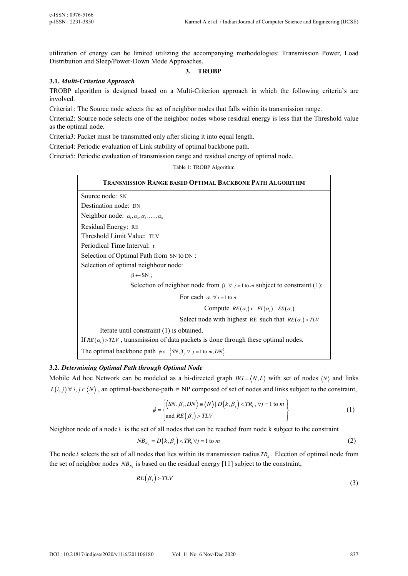utilization of energy can be limited utilizing the accompanying methodologies: Transmission Power, Load Distribution and Sleep/Power-Down Mode Approaches.

# **3. TROBP**

# **3.1.** *Multi-Criterion Approach*

TROBP algorithm is designed based on a Multi-Criterion approach in which the following criteria's are involved.

Criteria1: The Source node selects the set of neighbor nodes that falls within its transmission range.

Criteria2: Source node selects one of the neighbor nodes whose residual energy is less that the Threshold value as the optimal node.

Criteria3: Packet must be transmitted only after slicing it into equal length.

Criteria4: Periodic evaluation of Link stability of optimal backbone path.

Criteria5: Periodic evaluation of transmission range and residual energy of optimal node.

# Table 1: TROBP Algorithm

| TRANSMISSION RANGE BASED OPTIMAL BACKBONE PATH ALGORITHM                                       |  |  |
|------------------------------------------------------------------------------------------------|--|--|
| Source node: SN                                                                                |  |  |
| Destination node: DN                                                                           |  |  |
| Neighbor node: $\alpha_1, \alpha_2, \alpha_3, \ldots, \alpha_n$                                |  |  |
| Residual Energy: RE                                                                            |  |  |
| Threshold Limit Value: TLV                                                                     |  |  |
| Periodical Time Interval: t                                                                    |  |  |
| Selection of Optimal Path from SN to DN :                                                      |  |  |
| Selection of optimal neighbour node:                                                           |  |  |
| $\beta \leftarrow SN$ ;                                                                        |  |  |
| Selection of neighbor node from $\beta_j \forall j = 1$ to <i>m</i> subject to constraint (1): |  |  |
| For each $\alpha_i \forall i = 1$ to n                                                         |  |  |
| Compute $RE(\alpha_i) \leftarrow EI(\alpha_i) - ES(\alpha_i)$                                  |  |  |
| Select node with highest RE such that $RE(\alpha_i) > TLV$                                     |  |  |
| Iterate until constraint (1) is obtained.                                                      |  |  |
| If $RE(\alpha_i) > TLV$ , transmission of data packets is done through these optimal nodes.    |  |  |
| The optimal backbone path $\phi \leftarrow \{SN, \beta_j \ \forall j = 1 \text{ to } m, DN\}$  |  |  |

## **3.2.** *Determining Optimal Path through Optimal Node*

Mobile Ad hoc Network can be modeled as a bi-directed graph  $BG = \langle N, L \rangle$  with set of nodes  $\langle N \rangle$  and links  $L(i, j) \forall i, j \in \langle N \rangle$ , an optimal-backbone-path  $\in NP$  composed of set of nodes and links subject to the constraint,

$$
\phi = \begin{cases} \langle SN, \beta_j, DN \rangle \in \langle N \rangle \mid D(k, \beta_j) < TR_k, \forall j = 1 \text{ to } m \\ \text{and } RE\left(\beta_j\right) > TLV \end{cases} \tag{1}
$$

Neighbor node of a node  $k$  is the set of all nodes that can be reached from node  $k$  subject to the constraint

$$
NB_{N_k} = D(k, \beta_j) < TR_k \,\forall j = 1 \text{ to } m \tag{2}
$$

The node *k* selects the set of all nodes that lies within its transmission radius*TR<sup>k</sup>* . Election of optimal node from the set of neighbor nodes  $NB_{N_k}$  is based on the residual energy [11] subject to the constraint,

$$
RE(\beta_j) > TLV \tag{3}
$$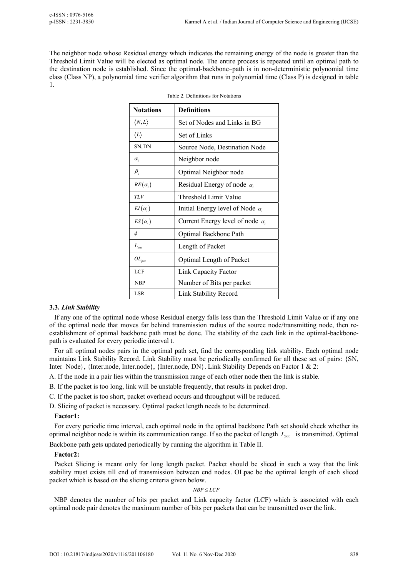The neighbor node whose Residual energy which indicates the remaining energy of the node is greater than the Threshold Limit Value will be elected as optimal node. The entire process is repeated until an optimal path to the destination node is established. Since the optimal-backbone–path is in non-deterministic polynomial time class (Class NP), a polynomial time verifier algorithm that runs in polynomial time (Class P) is designed in table 1.

| <b>Notations</b>               | <b>Definitions</b>                      |
|--------------------------------|-----------------------------------------|
| $\langle N,L\rangle$           | Set of Nodes and Links in BG            |
| $\langle L \rangle$            | Set of Links                            |
| SN, DN                         | Source Node, Destination Node           |
| $\alpha_{i}$                   | Neighbor node                           |
| $\beta_i$                      | Optimal Neighbor node                   |
| $RE(\alpha_i)$                 | Residual Energy of node $\alpha_i$      |
| TLV                            | Threshold Limit Value                   |
| $EI(\alpha_i)$                 | Initial Energy level of Node $\alpha_i$ |
| $ES(\alpha_i)$                 | Current Energy level of node $\alpha_i$ |
| $\phi$                         | Optimal Backbone Path                   |
| $L_{\scriptscriptstyle{pac}}$  | Length of Packet                        |
| $OL_{\scriptscriptstyle{pac}}$ | Optimal Length of Packet                |
| <b>LCF</b>                     | Link Capacity Factor                    |
| <b>NBP</b>                     | Number of Bits per packet               |
| LSR                            | Link Stability Record                   |

Table 2. Definitions for Notations

## **3.3.** *Link Stability*

If any one of the optimal node whose Residual energy falls less than the Threshold Limit Value or if any one of the optimal node that moves far behind transmission radius of the source node/transmitting node, then reestablishment of optimal backbone path must be done. The stability of the each link in the optimal-backbonepath is evaluated for every periodic interval t.

For all optimal nodes pairs in the optimal path set, find the corresponding link stability. Each optimal node maintains Link Stability Record. Link Stability must be periodically confirmed for all these set of pairs: {SN, Inter\_Node}, {Inter.node}, {Inter.node}, {Inter.node}, DN}. Link Stability Depends on Factor 1 & 2:

A. If the node in a pair lies within the transmission range of each other node then the link is stable.

- B. If the packet is too long, link will be unstable frequently, that results in packet drop.
- C. If the packet is too short, packet overhead occurs and throughput will be reduced.

D. Slicing of packet is necessary. Optimal packet length needs to be determined.

# **Factor1:**

For every periodic time interval, each optimal node in the optimal backbone Path set should check whether its optimal neighbor node is within its communication range. If so the packet of length *Lpac* is transmitted. Optimal

Backbone path gets updated periodically by running the algorithm in Table II.

## **Factor2:**

Packet Slicing is meant only for long length packet. Packet should be sliced in such a way that the link stability must exists till end of transmission between end nodes. OLpac be the optimal length of each sliced packet which is based on the slicing criteria given below.

## *NBP LCF*

NBP denotes the number of bits per packet and Link capacity factor (LCF) which is associated with each optimal node pair denotes the maximum number of bits per packets that can be transmitted over the link.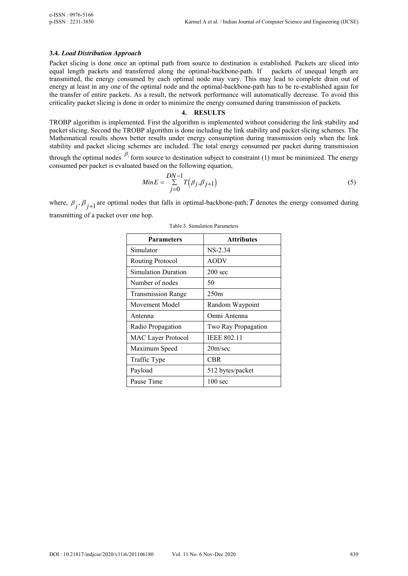## **3.4.** *Load Distribution Approach*

Packet slicing is done once an optimal path from source to destination is established. Packets are sliced into equal length packets and transferred along the optimal-backbone-path. If packets of unequal length are transmitted, the energy consumed by each optimal node may vary. This may lead to complete drain out of energy at least in any one of the optimal node and the optimal-backbone-path has to be re-established again for the transfer of entire packets. As a result, the network performance will automatically decrease. To avoid this criticality packet slicing is done in order to minimize the energy consumed during transmission of packets.

#### **4. RESULTS**

TROBP algorithm is implemented. First the algorithm is implemented without considering the link stability and packet slicing. Second the TROBP algorithm is done including the link stability and packet slicing schemes. The Mathematical results shows better results under energy consumption during transmission only when the link stability and packet slicing schemes are included. The total energy consumed per packet during transmission

through the optimal nodes  $\beta_j$  form source to destination subject to constraint (1) must be minimized. The energy consumed per packet is evaluated based on the following equation,

$$
MinE = \sum_{j=0}^{DN-1} T(\beta_j, \beta_{j+1})
$$
\n(5)

where,  $\beta_j$ ,  $\beta_{j+1}$  are optimal nodes that falls in optimal-backbone-path; *T* denotes the energy consumed during transmitting of a packet over one hop.

| <b>Parameters</b>          | <b>Attributes</b>   |
|----------------------------|---------------------|
| Simulator                  | $NS-2.34$           |
| <b>Routing Protocol</b>    | <b>AODV</b>         |
| <b>Simulation Duration</b> | $200 \text{ sec}$   |
| Number of nodes            | 50                  |
| <b>Transmission Range</b>  | 250m                |
| Movement Model             | Random Waypoint     |
| Antenna                    | Omni Antenna        |
| Radio Propagation          | Two Ray Propagation |
| <b>MAC Layer Protocol</b>  | <b>IEEE 802.11</b>  |
| Maximum Speed              | 20m/sec             |
| Traffic Type               | <b>CBR</b>          |
| Payload                    | 512 bytes/packet    |
| Pause Time                 | $100 \text{ sec}$   |

|  |  | Table 3. Simulation Parameters |
|--|--|--------------------------------|
|--|--|--------------------------------|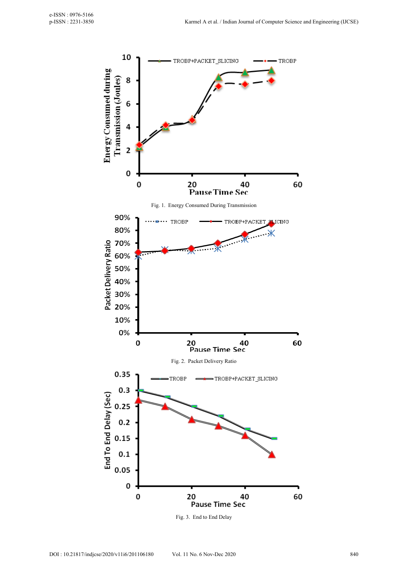

Fig. 3. End to End Delay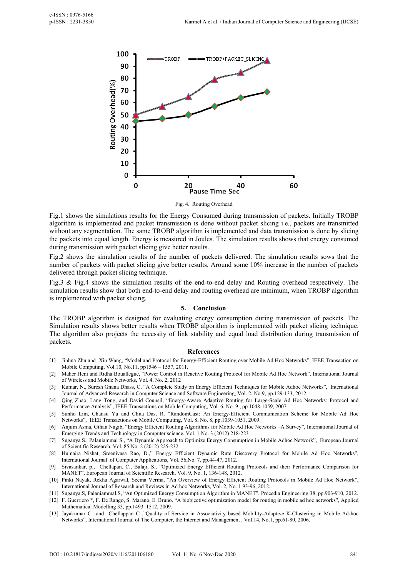

Fig. 4. Routing Overhead

Fig.1 shows the simulations results for the Energy Consumed during transmission of packets. Initially TROBP algorithm is implemented and packet transmission is done without packet slicing i.e., packets are transmitted without any segmentation. The same TROBP algorithm is implemented and data transmission is done by slicing the packets into equal length. Energy is measured in Joules. The simulation results shows that energy consumed during transmission with packet slicing give better results.

Fig.2 shows the simulation results of the number of packets delivered. The simulation results sows that the number of packets with packet slicing give better results. Around some 10% increase in the number of packets delivered through packet slicing technique.

Fig.3 & Fig.4 shows the simulation results of the end-to-end delay and Routing overhead respectively. The simulation results show that both end-to-end delay and routing overhead are minimum, when TROBP algorithm is implemented with packet slicing.

#### **5. Conclusion**

The TROBP algorithm is designed for evaluating energy consumption during transmission of packets. The Simulation results shows better results when TROBP algorithm is implemented with packet slicing technique. The algorithm also projects the necessity of link stability and equal load distribution during transmission of packets.

#### **References**

- [1] Jinhua Zhu and Xin Wang, "Model and Protocol for Energy-Efficient Routing over Mobile Ad Hoc Networks", IEEE Transaction on Mobile Computing, Vol.10, No.11, pp1546 – 1557, 2011.
- [2] Maher Heni and Ridha Bouallegue, "Power Control in Reactive Routing Protocol for Mobile Ad Hoc Network", International Journal of Wireless and Mobile Networks, Vol. 4, No. 2, 2012
- [3] Kumar, N., Suresh Gnana Dhass, C, "A Complete Study on Energy Efficient Techniques for Mobile Adhoc Networks", International Journal of Advanced Research in Computer Science and Software Engineering, Vol. 2, No.9, pp.129-133, 2012.
- [4] Qing Zhao, Lang Tong, and David Counsil, "Energy-Aware Adaptive Routing for Large-Scale Ad Hoc Networks: Protocol and Performance Analysis", IEEE Transactions on Mobile Computing, Vol. 6, No. 9 , pp.1048-1059, 2007.
- [5] Sunho Lim, Chansu Yu and Chita Das, R. "RandomCast: An Energy-Efficient Communication Scheme for Mobile Ad Hoc Networks", IEEE Transactions on Mobile Computing, Vol. 8, No. 8, pp.1039-1051, 2009.
- [6] Anjum Asma, Gihan Nagib, "Energy Efficient Routing Algorithms for Mobile Ad Hoc Networks –A Survey", International Journal of Emerging Trends and Technology in Computer science. Vol. 1 No. 3 (2012) 218-223
- [7] Suganya S., Palaniammal S., "A Dynamic Approach to Optimize Energy Consumption in Mobile Adhoc Network", European Journal of Scientific Research. Vol. 85 No. 2 (2012) 225-232
- [8] Humaira Nishat, Sreenivasa Rao, D.," Energy Efficient Dynamic Rute Discovery Protocol for Mobile Ad Hoc Networks", International Journal of Computer Applications, Vol. 56,No. 7, pp.44-47, 2012.
- [9] Sivasankar, p., Chellapan, C., Balaji, S., "Optimized Energy Efficient Routing Protocols and their Performance Comparison for MANET", European Journal of Scientific Research, Vol. 9, No. 1, 136-148, 2012.
- [10] Pinki Nayak, Rekha Agarwal, Seema Verma, "An Overview of Energy Efficient Routing Protocols in Mobile Ad Hoc Network", International Journal of Research and Reviews in Ad hoc Networks, Vol. 2, No. 1 93-96, 2012.
- [11] Suganya.S, Palaniammal.S, "An Optimized Energy Consumption Algorithm in MANET", Procedia Engineering 38, pp.903-910, 2012.
- [12] F. Guerriero \*, F. De Rango, S. Marano, E. Bruno. "A biobjective optimization model for routing in mobile ad hoc networks", Applied Mathematical Modelling 33, pp.1493–1512, 2009.
- [13] Jayakumar C and Chellappan C ,"Quality of Service in Associativity based Mobility-Adaptive K-Clustering in Mobile Ad-hoc Networks", International Journal of The Computer, the Internet and Management , Vol.14, No.1, pp.61-80, 2006.